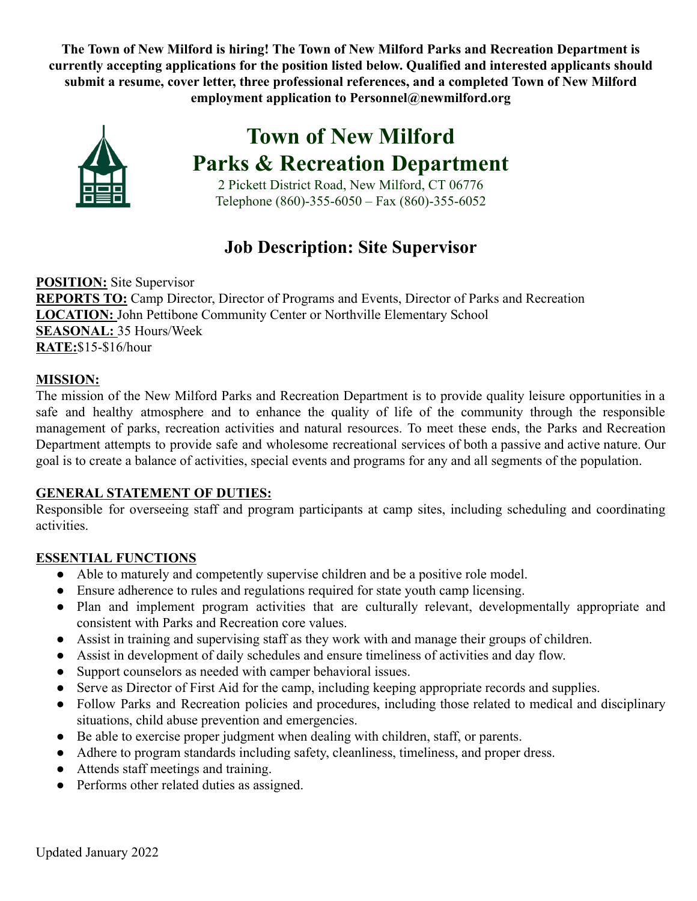**The Town of New Milford is hiring! The Town of New Milford Parks and Recreation Department is currently accepting applications for the position listed below. Qualified and interested applicants should submit a resume, cover letter, three professional references, and a completed Town of New Milford employment application to Personnel@newmilford.org**



**Town of New Milford Parks & Recreation Department**

2 Pickett District Road, New Milford, CT 06776 Telephone (860)-355-6050 – Fax (860)-355-6052

# **Job Description: Site Supervisor**

**POSITION:** Site Supervisor **REPORTS TO:** Camp Director, Director of Programs and Events, Director of Parks and Recreation **LOCATION:** John Pettibone Community Center or Northville Elementary School **SEASONAL:** 35 Hours/Week **RATE:**\$15-\$16/hour

### **MISSION:**

The mission of the New Milford Parks and Recreation Department is to provide quality leisure opportunities in a safe and healthy atmosphere and to enhance the quality of life of the community through the responsible management of parks, recreation activities and natural resources. To meet these ends, the Parks and Recreation Department attempts to provide safe and wholesome recreational services of both a passive and active nature. Our goal is to create a balance of activities, special events and programs for any and all segments of the population.

### **GENERAL STATEMENT OF DUTIES:**

Responsible for overseeing staff and program participants at camp sites, including scheduling and coordinating activities.

### **ESSENTIAL FUNCTIONS**

- Able to maturely and competently supervise children and be a positive role model.
- Ensure adherence to rules and regulations required for state youth camp licensing.
- Plan and implement program activities that are culturally relevant, developmentally appropriate and consistent with Parks and Recreation core values.
- Assist in training and supervising staff as they work with and manage their groups of children.
- Assist in development of daily schedules and ensure timeliness of activities and day flow.
- Support counselors as needed with camper behavioral issues.
- Serve as Director of First Aid for the camp, including keeping appropriate records and supplies.
- Follow Parks and Recreation policies and procedures, including those related to medical and disciplinary situations, child abuse prevention and emergencies.
- Be able to exercise proper judgment when dealing with children, staff, or parents.
- Adhere to program standards including safety, cleanliness, timeliness, and proper dress.
- Attends staff meetings and training.
- Performs other related duties as assigned.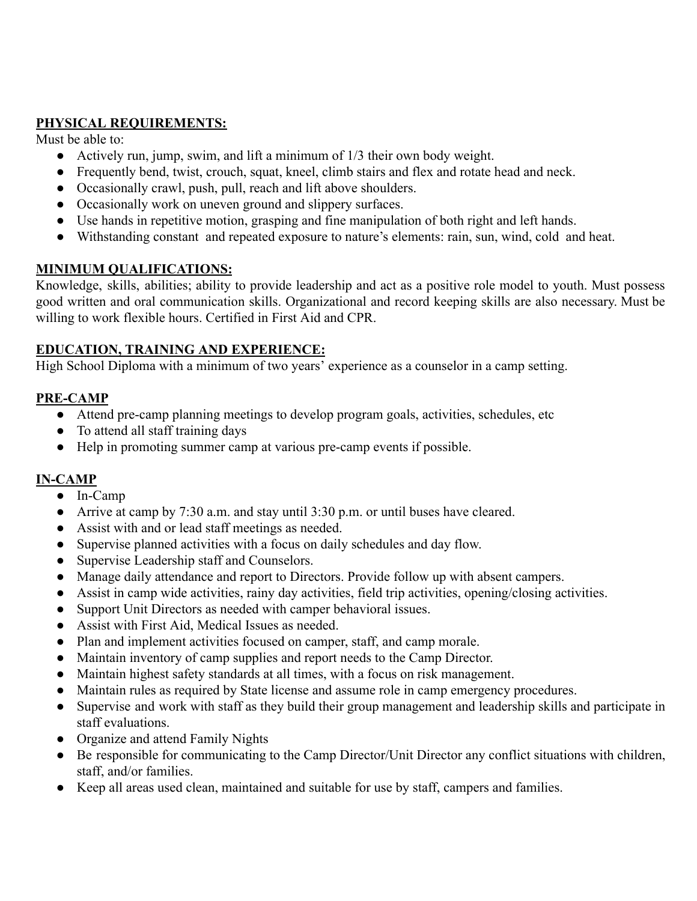#### **PHYSICAL REQUIREMENTS:**

Must be able to:

- Actively run, jump, swim, and lift a minimum of 1/3 their own body weight.
- Frequently bend, twist, crouch, squat, kneel, climb stairs and flex and rotate head and neck.
- Occasionally crawl, push, pull, reach and lift above shoulders.
- Occasionally work on uneven ground and slippery surfaces.
- Use hands in repetitive motion, grasping and fine manipulation of both right and left hands.
- Withstanding constant and repeated exposure to nature's elements: rain, sun, wind, cold and heat.

#### **MINIMUM QUALIFICATIONS:**

Knowledge, skills, abilities; ability to provide leadership and act as a positive role model to youth. Must possess good written and oral communication skills. Organizational and record keeping skills are also necessary. Must be willing to work flexible hours. Certified in First Aid and CPR.

#### **EDUCATION, TRAINING AND EXPERIENCE:**

High School Diploma with a minimum of two years' experience as a counselor in a camp setting.

#### **PRE-CAMP**

- Attend pre-camp planning meetings to develop program goals, activities, schedules, etc
- To attend all staff training days
- Help in promoting summer camp at various pre-camp events if possible.

#### **IN-CAMP**

- In-Camp
- Arrive at camp by 7:30 a.m. and stay until 3:30 p.m. or until buses have cleared.
- Assist with and or lead staff meetings as needed.
- Supervise planned activities with a focus on daily schedules and day flow.
- Supervise Leadership staff and Counselors.
- Manage daily attendance and report to Directors. Provide follow up with absent campers.
- Assist in camp wide activities, rainy day activities, field trip activities, opening/closing activities.
- Support Unit Directors as needed with camper behavioral issues.
- Assist with First Aid, Medical Issues as needed.
- Plan and implement activities focused on camper, staff, and camp morale.
- Maintain inventory of camp supplies and report needs to the Camp Director.
- Maintain highest safety standards at all times, with a focus on risk management.
- Maintain rules as required by State license and assume role in camp emergency procedures.
- Supervise and work with staff as they build their group management and leadership skills and participate in staff evaluations.
- Organize and attend Family Nights
- Be responsible for communicating to the Camp Director/Unit Director any conflict situations with children, staff, and/or families.
- Keep all areas used clean, maintained and suitable for use by staff, campers and families.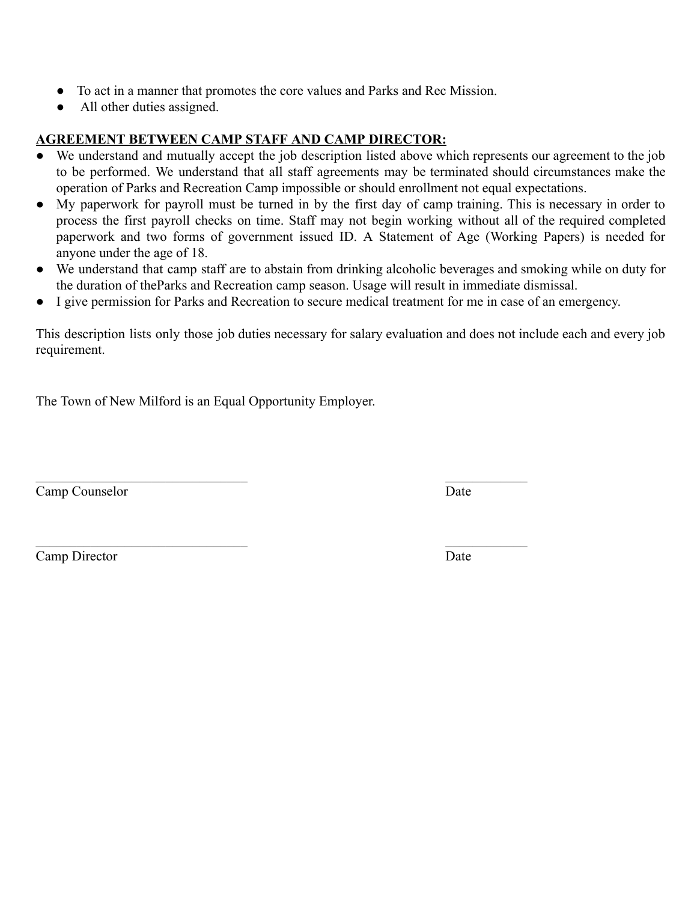- To act in a manner that promotes the core values and Parks and Rec Mission.
- All other duties assigned.

#### **AGREEMENT BETWEEN CAMP STAFF AND CAMP DIRECTOR:**

- We understand and mutually accept the job description listed above which represents our agreement to the job to be performed. We understand that all staff agreements may be terminated should circumstances make the operation of Parks and Recreation Camp impossible or should enrollment not equal expectations.
- My paperwork for payroll must be turned in by the first day of camp training. This is necessary in order to process the first payroll checks on time. Staff may not begin working without all of the required completed paperwork and two forms of government issued ID. A Statement of Age (Working Papers) is needed for anyone under the age of 18.
- We understand that camp staff are to abstain from drinking alcoholic beverages and smoking while on duty for the duration of theParks and Recreation camp season. Usage will result in immediate dismissal.
- I give permission for Parks and Recreation to secure medical treatment for me in case of an emergency.

This description lists only those job duties necessary for salary evaluation and does not include each and every job requirement.

The Town of New Milford is an Equal Opportunity Employer.

Camp Counselor Date

Camp Director Date